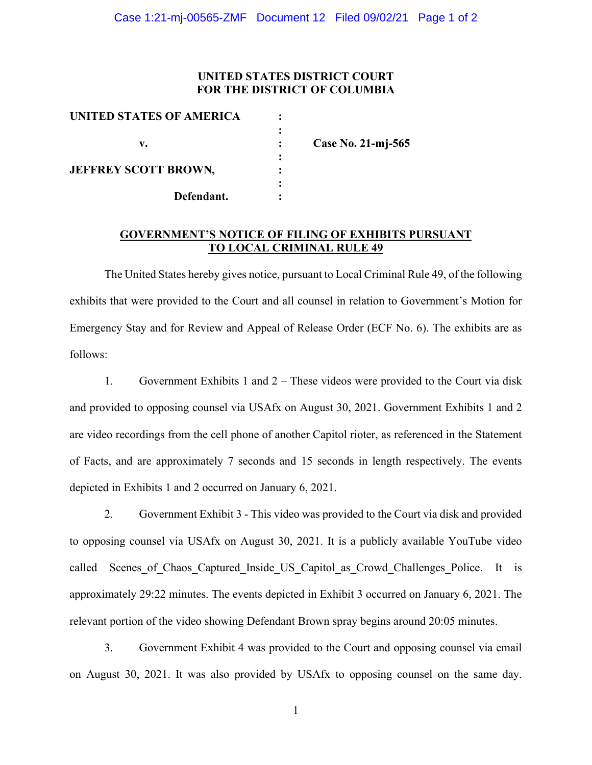## **UNITED STATES DISTRICT COURT FOR THE DISTRICT OF COLUMBIA**

| UNITED STATES OF AMERICA    |   |                    |
|-----------------------------|---|--------------------|
| v.                          |   | Case No. 21-mj-565 |
| <b>JEFFREY SCOTT BROWN,</b> | ٠ |                    |
| Defendant.                  |   |                    |

## **GOVERNMENT'S NOTICE OF FILING OF EXHIBITS PURSUANT TO LOCAL CRIMINAL RULE 49**

The United States hereby gives notice, pursuant to Local Criminal Rule 49, of the following exhibits that were provided to the Court and all counsel in relation to Government's Motion for Emergency Stay and for Review and Appeal of Release Order (ECF No. 6). The exhibits are as follows:

1. Government Exhibits 1 and 2 – These videos were provided to the Court via disk and provided to opposing counsel via USAfx on August 30, 2021. Government Exhibits 1 and 2 are video recordings from the cell phone of another Capitol rioter, as referenced in the Statement of Facts, and are approximately 7 seconds and 15 seconds in length respectively. The events depicted in Exhibits 1 and 2 occurred on January 6, 2021.

2. Government Exhibit 3 - This video was provided to the Court via disk and provided to opposing counsel via USAfx on August 30, 2021. It is a publicly available YouTube video called Scenes of Chaos Captured Inside US Capitol as Crowd Challenges Police. It is approximately 29:22 minutes. The events depicted in Exhibit 3 occurred on January 6, 2021. The relevant portion of the video showing Defendant Brown spray begins around 20:05 minutes.

3. Government Exhibit 4 was provided to the Court and opposing counsel via email on August 30, 2021. It was also provided by USAfx to opposing counsel on the same day.

1